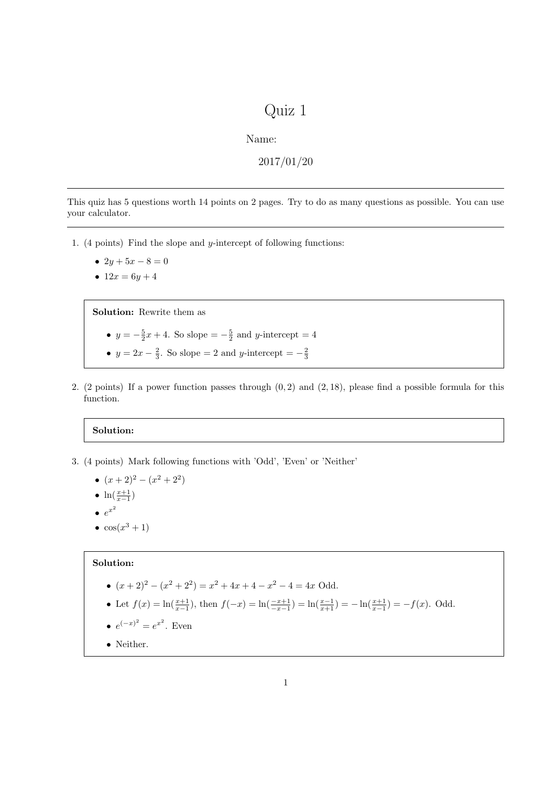## Quiz 1

Name:

2017/01/20

This quiz has 5 questions worth 14 points on 2 pages. Try to do as many questions as possible. You can use your calculator.

- 1. (4 points) Find the slope and y-intercept of following functions:
	- $2y + 5x 8 = 0$
	- $12x = 6y + 4$

Solution: Rewrite them as

- $y = -\frac{5}{2}x + 4$ . So slope  $= -\frac{5}{2}$  and y-intercept  $= 4$
- $y = 2x \frac{2}{3}$ . So slope = 2 and y-intercept =  $-\frac{2}{3}$
- 2. (2 points) If a power function passes through  $(0, 2)$  and  $(2, 18)$ , please find a possible formula for this function.

## Solution:

- 3. (4 points) Mark following functions with 'Odd', 'Even' or 'Neither'
	- $(x+2)^2 (x^2+2^2)$
	- $\ln(\frac{x+1}{x-1})$
	- $e^{x^2}$
	- $\bullet$  cos( $x^3+1$ )

## Solution:

- $(x+2)^2 (x^2+2^2) = x^2 + 4x + 4 x^2 4 = 4x$  Odd.
- Let  $f(x) = \ln(\frac{x+1}{x-1})$ , then  $f(-x) = \ln(\frac{-x+1}{x-1}) = \ln(\frac{x-1}{x+1}) = -\ln(\frac{x+1}{x-1}) = -f(x)$ . Odd.
- $e^{(-x)^2} = e^{x^2}$ . Even
- Neither.